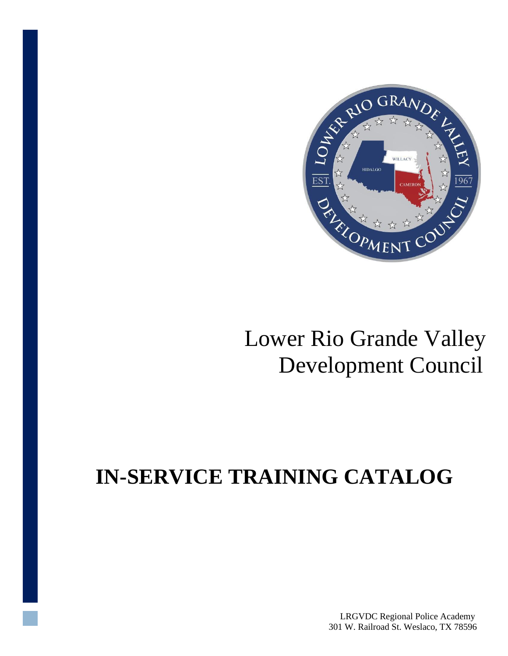

## Lower Rio Grande Valley Development Council

# **IN-SERVICE TRAINING CATALOG**

LRGVDC Regional Police Academy 301 W. Railroad St. Weslaco, TX 78596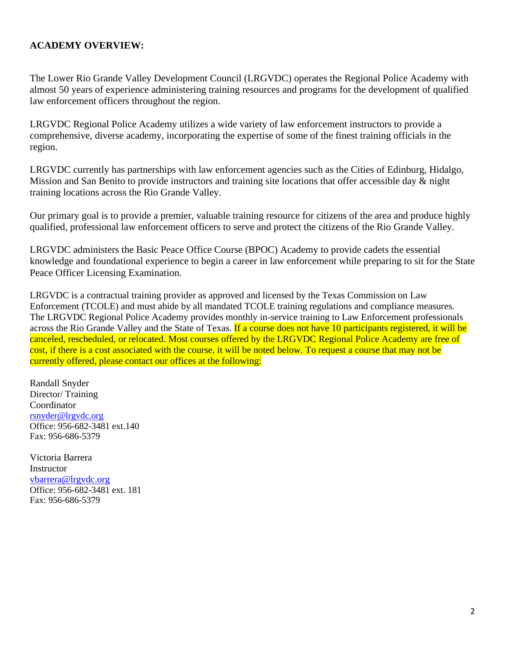#### **ACADEMY OVERVIEW:**

The Lower Rio Grande Valley Development Council (LRGVDC) operates the Regional Police Academy with almost 50 years of experience administering training resources and programs for the development of qualified law enforcement officers throughout the region.

LRGVDC Regional Police Academy utilizes a wide variety of law enforcement instructors to provide a comprehensive, diverse academy, incorporating the expertise of some of the finest training officials in the region.

LRGVDC currently has partnerships with law enforcement agencies such as the Cities of Edinburg, Hidalgo, Mission and San Benito to provide instructors and training site locations that offer accessible day & night training locations across the Rio Grande Valley.

Our primary goal is to provide a premier, valuable training resource for citizens of the area and produce highly qualified, professional law enforcement officers to serve and protect the citizens of the Rio Grande Valley.

LRGVDC administers the Basic Peace Office Course (BPOC) Academy to provide cadets the essential knowledge and foundational experience to begin a career in law enforcement while preparing to sit for the State Peace Officer Licensing Examination.

LRGVDC is a contractual training provider as approved and licensed by the Texas Commission on Law Enforcement (TCOLE) and must abide by all mandated TCOLE training regulations and compliance measures. The LRGVDC Regional Police Academy provides monthly in-service training to Law Enforcement professionals across the Rio Grande Valley and the State of Texas. If a course does not have 10 participants registered, it will be canceled, rescheduled, or relocated. Most courses offered by the LRGVDC Regional Police Academy are free of cost, if there is a cost associated with the course, it will be noted below. To request a course that may not be currently offered, please contact our offices at the following:

Randall Snyder Director/ Training Coordinator [rsnyder@lrgvdc.org](mailto:rsnyder@lrgvdc.org) Office: 956-682-3481 ext.140 Fax: 956-686-5379

Victoria Barrera Instructor [vbarrera@lrgvdc.org](mailto:vbarrera@lrgvdc.org) Office: 956-682-3481 ext. 181 Fax: 956-686-5379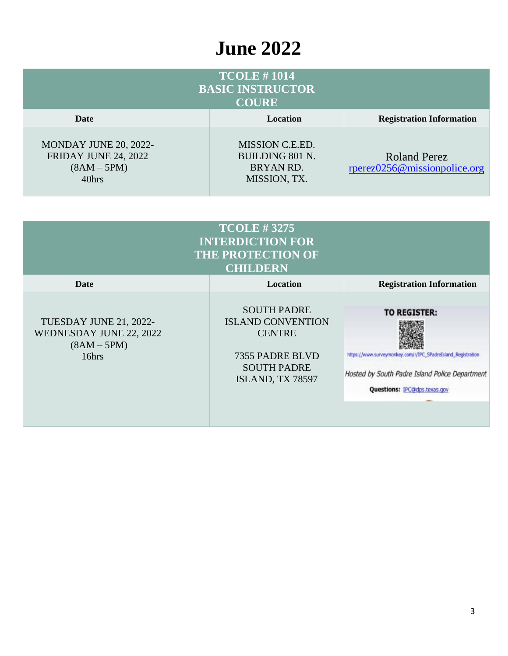### **June 2022**

| <b>TCOLE #1014</b><br><b>BASIC INSTRUCTOR</b><br><b>COURE</b>                  |                                                                               |                                                     |  |
|--------------------------------------------------------------------------------|-------------------------------------------------------------------------------|-----------------------------------------------------|--|
| Date                                                                           | <b>Location</b>                                                               | <b>Registration Information</b>                     |  |
| MONDAY JUNE 20, 2022-<br><b>FRIDAY JUNE 24, 2022</b><br>$(8AM - 5PM)$<br>40hrs | MISSION C.E.ED.<br><b>BUILDING 801 N.</b><br><b>BRYAN RD.</b><br>MISSION, TX. | <b>Roland Perez</b><br>rperez0256@missionpolice.org |  |

| <b>TCOLE #3275</b><br><b>INTERDICTION FOR</b><br><b>THE PROTECTION OF</b><br><b>CHILDERN</b> |                                                                                                                              |                                                                                                                                                                              |  |
|----------------------------------------------------------------------------------------------|------------------------------------------------------------------------------------------------------------------------------|------------------------------------------------------------------------------------------------------------------------------------------------------------------------------|--|
| Date                                                                                         | Location                                                                                                                     | <b>Registration Information</b>                                                                                                                                              |  |
| TUESDAY JUNE 21, 2022-<br>WEDNESDAY JUNE 22, 2022<br>$(8AM - 5PM)$<br>16hrs                  | <b>SOUTH PADRE</b><br><b>ISLAND CONVENTION</b><br><b>CENTRE</b><br>7355 PADRE BLVD<br><b>SOUTH PADRE</b><br>ISLAND, TX 78597 | <b>TO REGISTER:</b><br>https://www.surveymonkey.com/r/IPC_SPadreIsland_Registration<br>Hosted by South Padre Island Police Department<br><b>Questions: IPC@dps.texas.gov</b> |  |